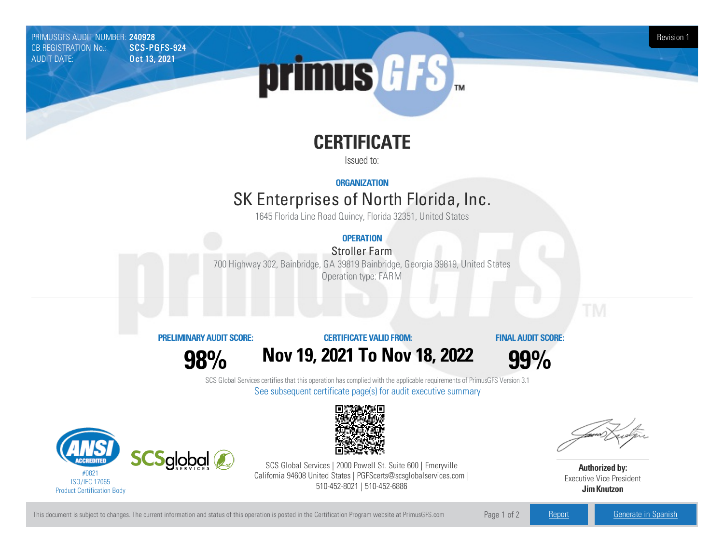PRIMUSGFS AUDIT NUMBER: 240928 Revision 1 CB REGISTRATION No.: AUDIT DATE: **Oct 13, 2021** 



# **CERTIFICATE**

Issued to:

**ORGANIZATION**

# SK Enterprises of North Florida, Inc.

1645 Florida Line Road Quincy, Florida 32351, United States

## **OPERATION**

Stroller Farm

700 Highway302, Bainbridge, GA 39819 Bainbridge, Georgia39819, United States Operation type: FARM

### **PRELIMINARYAUDIT SCORE:**

**CERTIFICATE VALIDFROM:**

**FINAL AUDIT SCORE:**

**98%**





SCS Global Services certifies that this operation has complied with the applicable requirements of PrimusGFS Version 3.1 See subsequent certificate page(s) for audit executive summary





SCS Global Services | 2000 Powell St. Suite 600 | Emeryville California 94608 United States | PGFScerts@scsglobalservices.com | 510-452-8021 | 510-452-6886

**Authorized by:** Executive Vice President **JimKnutzon**

This document is subject to changes. The current information and status of this operation is posted in the Certification Program website at PrimusGFS.com Page 1 of 2 [Report](https://secure.azzule.com/PGFSDocuments/PGFS_AuditReport240928_1976_1_EN.pdf) [Generate](https://secure.azzule.com/PrimusGFSAudits/pdfGenerator.aspx?AuditHeaderID=57201677097534954825530194050837635420674&AppId=85552091316&LanguageID=1&UserId=1) in Spanish